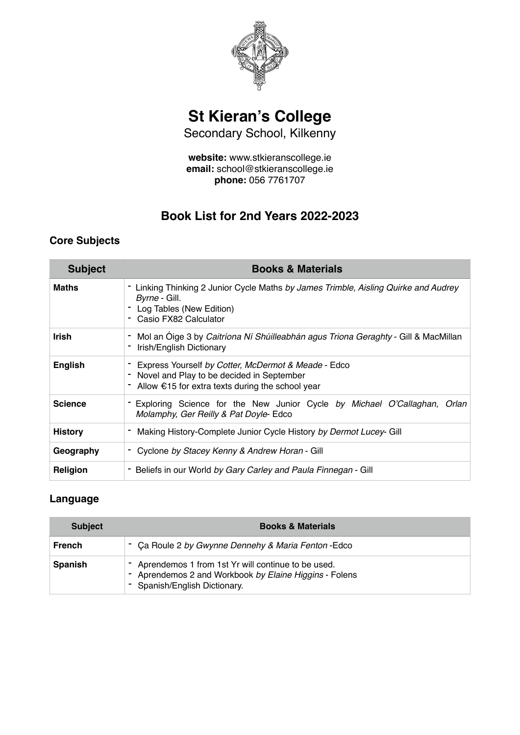

# **St Kieran's College**

Secondary School, Kilkenny

**website:** www.stkieranscollege.ie **email:** school@stkieranscollege.ie **phone:** 056 7761707

# **Book List for 2nd Years 2022-2023**

## **Core Subjects**

| <b>Subject</b> | <b>Books &amp; Materials</b>                                                                                                                                     |
|----------------|------------------------------------------------------------------------------------------------------------------------------------------------------------------|
| <b>Maths</b>   | - Linking Thinking 2 Junior Cycle Maths by James Trimble, Aisling Quirke and Audrey<br>Byrne - Gill.<br>Log Tables (New Edition)<br>- Casio FX82 Calculator      |
| <b>Irish</b>   | Mol an Oige 3 by Caitríona Ní Shúilleabhán agus Triona Geraghty - Gill & MacMillan<br>Irish/English Dictionary                                                   |
| English        | Express Yourself by Cotter, McDermot & Meade - Edco<br>Novel and Play to be decided in September<br>- Allow $\epsilon$ 15 for extra texts during the school year |
| <b>Science</b> | - Exploring Science for the New Junior Cycle by Michael O'Callaghan, Orlan<br>Molamphy, Ger Reilly & Pat Doyle-Edco                                              |
| History        | Making History-Complete Junior Cycle History by Dermot Lucey- Gill                                                                                               |
| Geography      | - Cyclone by Stacey Kenny & Andrew Horan - Gill                                                                                                                  |
| Religion       | Beliefs in our World by Gary Carley and Paula Finnegan - Gill                                                                                                    |

## **Language**

| <b>Subject</b> | <b>Books &amp; Materials</b>                                                                                                                    |
|----------------|-------------------------------------------------------------------------------------------------------------------------------------------------|
| <b>French</b>  | - Ca Roule 2 by Gwynne Dennehy & Maria Fenton - Edco                                                                                            |
| <b>Spanish</b> | - Aprendemos 1 from 1st Yr will continue to be used.<br>- Aprendemos 2 and Workbook by Elaine Higgins - Folens<br>- Spanish/English Dictionary. |